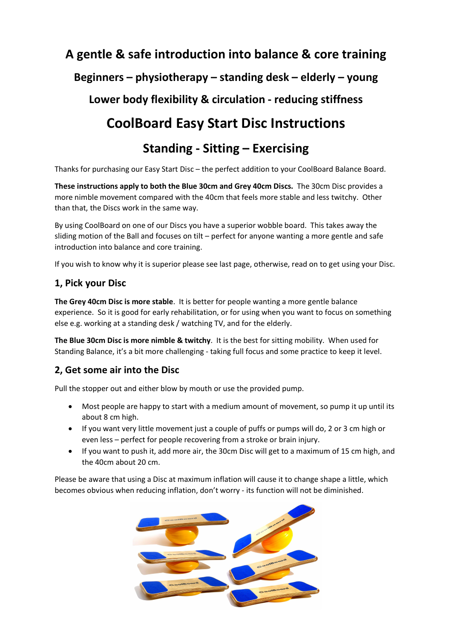# **A gentle & safe introduction into balance & core training Beginners – physiotherapy – standing desk – elderly – young Lower body flexibility & circulation - reducing stiffness**

## **CoolBoard Easy Start Disc Instructions**

## **Standing - Sitting – Exercising**

Thanks for purchasing our Easy Start Disc – the perfect addition to your CoolBoard Balance Board.

**These instructions apply to both the Blue 30cm and Grey 40cm Discs.** The 30cm Disc provides a more nimble movement compared with the 40cm that feels more stable and less twitchy. Other than that, the Discs work in the same way.

By using CoolBoard on one of our Discs you have a superior wobble board. This takes away the sliding motion of the Ball and focuses on tilt – perfect for anyone wanting a more gentle and safe introduction into balance and core training.

If you wish to know why it is superior please see last page, otherwise, read on to get using your Disc.

### **1, Pick your Disc**

**The Grey 40cm Disc is more stable**. It is better for people wanting a more gentle balance experience. So it is good for early rehabilitation, or for using when you want to focus on something else e.g. working at a standing desk / watching TV, and for the elderly.

**The Blue 30cm Disc is more nimble & twitchy**. It is the best for sitting mobility. When used for Standing Balance, it's a bit more challenging - taking full focus and some practice to keep it level.

### **2, Get some air into the Disc**

Pull the stopper out and either blow by mouth or use the provided pump.

- Most people are happy to start with a medium amount of movement, so pump it up until its about 8 cm high.
- If you want very little movement just a couple of puffs or pumps will do, 2 or 3 cm high or even less – perfect for people recovering from a stroke or brain injury.
- If you want to push it, add more air, the 30cm Disc will get to a maximum of 15 cm high, and the 40cm about 20 cm.

Please be aware that using a Disc at maximum inflation will cause it to change shape a little, which becomes obvious when reducing inflation, don't worry - its function will not be diminished.

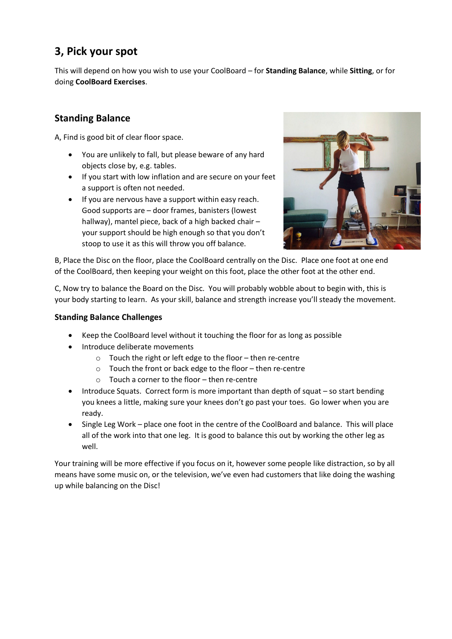## **3, Pick your spot**

This will depend on how you wish to use your CoolBoard – for **Standing Balance**, while **Sitting**, or for doing **CoolBoard Exercises**.

### **Standing Balance**

A, Find is good bit of clear floor space.

- You are unlikely to fall, but please beware of any hard objects close by, e.g. tables.
- If you start with low inflation and are secure on your feet a support is often not needed.
- If you are nervous have a support within easy reach. Good supports are – door frames, banisters (lowest hallway), mantel piece, back of a high backed chair – your support should be high enough so that you don't stoop to use it as this will throw you off balance.



B, Place the Disc on the floor, place the CoolBoard centrally on the Disc. Place one foot at one end of the CoolBoard, then keeping your weight on this foot, place the other foot at the other end.

C, Now try to balance the Board on the Disc. You will probably wobble about to begin with, this is your body starting to learn. As your skill, balance and strength increase you'll steady the movement.

#### **Standing Balance Challenges**

- Keep the CoolBoard level without it touching the floor for as long as possible
- Introduce deliberate movements
	- o Touch the right or left edge to the floor then re-centre
	- o Touch the front or back edge to the floor then re-centre
	- $\circ$  Touch a corner to the floor then re-centre
- Introduce Squats. Correct form is more important than depth of squat so start bending you knees a little, making sure your knees don't go past your toes. Go lower when you are ready.
- Single Leg Work place one foot in the centre of the CoolBoard and balance. This will place all of the work into that one leg. It is good to balance this out by working the other leg as well.

Your training will be more effective if you focus on it, however some people like distraction, so by all means have some music on, or the television, we've even had customers that like doing the washing up while balancing on the Disc!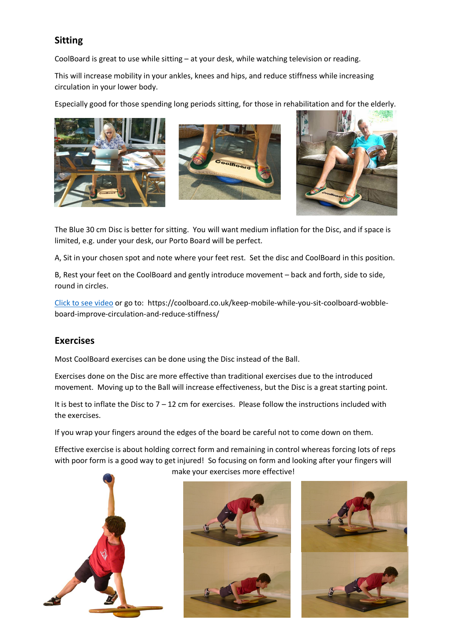### **Sitting**

CoolBoard is great to use while sitting – at your desk, while watching television or reading.

This will increase mobility in your ankles, knees and hips, and reduce stiffness while increasing circulation in your lower body.

Especially good for those spending long periods sitting, for those in rehabilitation and for the elderly.







The Blue 30 cm Disc is better for sitting. You will want medium inflation for the Disc, and if space is limited, e.g. under your desk, our Porto Board will be perfect.

A, Sit in your chosen spot and note where your feet rest. Set the disc and CoolBoard in this position.

B, Rest your feet on the CoolBoard and gently introduce movement – back and forth, side to side, round in circles.

[Click to see video](https://coolboard.co.uk/keep-mobile-while-you-sit-coolboard-wobble-board-improve-circulation-and-reduce-stiffness/) or go to: https://coolboard.co.uk/keep-mobile-while-you-sit-coolboard-wobbleboard-improve-circulation-and-reduce-stiffness/

### **Exercises**

Most CoolBoard exercises can be done using the Disc instead of the Ball.

Exercises done on the Disc are more effective than traditional exercises due to the introduced movement. Moving up to the Ball will increase effectiveness, but the Disc is a great starting point.

It is best to inflate the Disc to  $7 - 12$  cm for exercises. Please follow the instructions included with the exercises.

If you wrap your fingers around the edges of the board be careful not to come down on them.

Effective exercise is about holding correct form and remaining in control whereas forcing lots of reps with poor form is a good way to get injured! So focusing on form and looking after your fingers will make your exercises more effective!